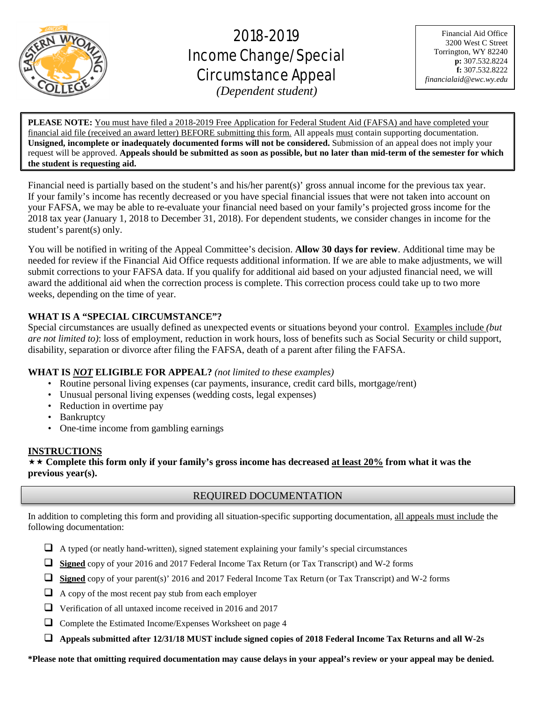

# 2018-2019 Income Change/Special Circumstance Appeal

Financial Aid Office 3200 West C Street Torrington, WY 82240 **p:** 307.532.8224 **f:** 307.532.8222 *financialaid@ewc.wy.edu*

*(Dependent student)*

 $\overline{a}$ 

**PLEASE NOTE:** You must have filed a 2018-2019 Free Application for Federal Student Aid (FAFSA) and have completed your financial aid file (received an award letter) BEFORE submitting this form. All appeals must contain supporting documentation. **Unsigned, incomplete or inadequately documented forms will not be considered.** Submission of an appeal does not imply your request will be approved. **Appeals should be submitted as soon as possible, but no later than mid-term of the semester for which the student is requesting aid.**

Financial need is partially based on the student's and his/her parent(s)' gross annual income for the previous tax year. If your family's income has recently decreased or you have special financial issues that were not taken into account on your FAFSA, we may be able to re-evaluate your financial need based on your family's projected gross income for the 2018 tax year (January 1, 2018 to December 31, 2018). For dependent students, we consider changes in income for the student's parent(s) only.

You will be notified in writing of the Appeal Committee's decision. **Allow 30 days for review**. Additional time may be needed for review if the Financial Aid Office requests additional information. If we are able to make adjustments, we will submit corrections to your FAFSA data. If you qualify for additional aid based on your adjusted financial need, we will award the additional aid when the correction process is complete. This correction process could take up to two more weeks, depending on the time of year.

# **WHAT IS A "SPECIAL CIRCUMSTANCE"?**

Special circumstances are usually defined as unexpected events or situations beyond your control. Examples include *(but are not limited to)*: loss of employment, reduction in work hours, loss of benefits such as Social Security or child support, disability, separation or divorce after filing the FAFSA, death of a parent after filing the FAFSA.

# **WHAT IS** *NOT* **ELIGIBLE FOR APPEAL?** *(not limited to these examples)*

- Routine personal living expenses (car payments, insurance, credit card bills, mortgage/rent)
- Unusual personal living expenses (wedding costs, legal expenses)
- Reduction in overtime pay
- Bankruptcy
- One-time income from gambling earnings

# **INSTRUCTIONS**

 **Complete this form only if your family's gross income has decreased at least 20% from what it was the previous year(s).**

# REQUIRED DOCUMENTATION

In addition to completing this form and providing all situation-specific supporting documentation, all appeals must include the following documentation:

- $\Box$  A typed (or neatly hand-written), signed statement explaining your family's special circumstances
- **Signed** copy of your 2016 and 2017 Federal Income Tax Return (or Tax Transcript) and W-2 forms
- **Signed** copy of your parent(s)' 2016 and 2017 Federal Income Tax Return (or Tax Transcript) and W-2 forms
- $\Box$  A copy of the most recent pay stub from each employer
- Verification of all untaxed income received in 2016 and 2017
- Complete the Estimated Income/Expenses Worksheet on page 4
- **Appeals submitted after 12/31/18 MUST include signed copies of 2018 Federal Income Tax Returns and all W-2s**

**\*Please note that omitting required documentation may cause delays in your appeal's review or your appeal may be denied.**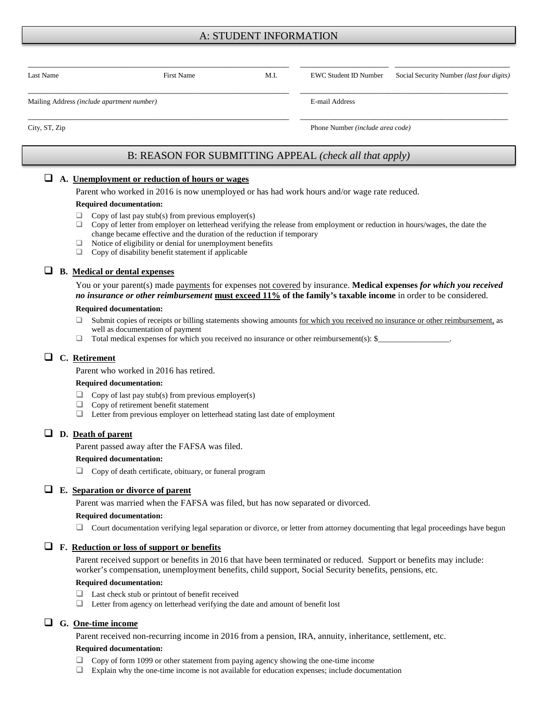# A: STUDENT INFORMATION

| Last Name                                  | <b>First Name</b> | M.I. | EWC Student ID Number            | Social Security Number ( <i>last four digits</i> ) |  |
|--------------------------------------------|-------------------|------|----------------------------------|----------------------------------------------------|--|
| Mailing Address (include apartment number) |                   |      | E-mail Address                   |                                                    |  |
| City, ST, Zip                              |                   |      | Phone Number (include area code) |                                                    |  |

# B: REASON FOR SUBMITTING APPEAL *(check all that apply)*

#### **A. Unemployment or reduction of hours or wages**

Parent who worked in 2016 is now unemployed or has had work hours and/or wage rate reduced.

#### **Required documentation:**

- $\Box$  Copy of last pay stub(s) from previous employer(s)
- $\Box$  Copy of letter from employer on letterhead verifying the release from employment or reduction in hours/wages, the date the change became effective and the duration of the reduction if temporary
- $\Box$  Notice of eligibility or denial for unemployment benefits  $\Box$  Copy of disability benefit statement if applicable
- Copy of disability benefit statement if applicable

# **B. Medical or dental expenses**

You or your parent(s) made payments for expenses not covered by insurance. **Medical expenses** *for which you received no insurance or other reimbursement* **must exceed 11% of the family's taxable income** in order to be considered.

#### **Required documentation:**

- □ Submit copies of receipts or billing statements showing amounts for which you received no insurance or other reimbursement, as well as documentation of payment
- $\Box$  Total medical expenses for which you received no insurance or other reimbursement(s): \$

## **C. Retirement**

Parent who worked in 2016 has retired.

#### **Required documentation:**

- $\Box$  Copy of last pay stub(s) from previous employer(s)<br> $\Box$  Copy of retirement benefit statement
- Copy of retirement benefit statement
- $\Box$  Letter from previous employer on letterhead stating last date of employment

## **D. Death of parent**

Parent passed away after the FAFSA was filed.

#### **Required documentation:**

Copy of death certificate, obituary, or funeral program

## **E. Separation or divorce of parent**

Parent was married when the FAFSA was filed, but has now separated or divorced.

#### **Required documentation:**

 $\Box$  Court documentation verifying legal separation or divorce, or letter from attorney documenting that legal proceedings have begun

## **F. Reduction or loss of support or benefits**

Parent received support or benefits in 2016 that have been terminated or reduced. Support or benefits may include: worker's compensation, unemployment benefits, child support, Social Security benefits, pensions, etc.

#### **Required documentation:**

- □ Last check stub or printout of benefit received
- Letter from agency on letterhead verifying the date and amount of benefit lost

## **G. One-time income**

Parent received non-recurring income in 2016 from a pension, IRA, annuity, inheritance, settlement, etc.

#### **Required documentation:**

- Copy of form 1099 or other statement from paying agency showing the one-time income
- Explain why the one-time income is not available for education expenses; include documentation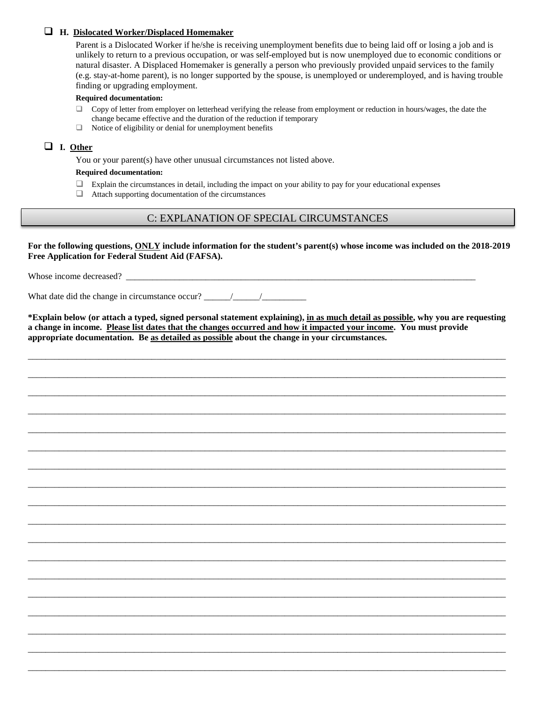## **H. Dislocated Worker/Displaced Homemaker**

Parent is a Dislocated Worker if he/she is receiving unemployment benefits due to being laid off or losing a job and is unlikely to return to a previous occupation, or was self-employed but is now unemployed due to economic conditions or natural disaster. A Displaced Homemaker is generally a person who previously provided unpaid services to the family (e.g. stay-at-home parent), is no longer supported by the spouse, is unemployed or underemployed, and is having trouble finding or upgrading employment.

#### **Required documentation:**

- $\Box$  Copy of letter from employer on letterhead verifying the release from employment or reduction in hours/wages, the date the change became effective and the duration of the reduction if temporary
- $\Box$  Notice of eligibility or denial for unemployment benefits

## **I. Other**

You or your parent(s) have other unusual circumstances not listed above.

#### **Required documentation:**

- $\Box$  Explain the circumstances in detail, including the impact on your ability to pay for your educational expenses
- $\Box$  Attach supporting documentation of the circumstances

# C: EXPLANATION OF SPECIAL CIRCUMSTANCES

**For the following questions, ONLY include information for the student's parent(s) whose income was included on the 2018-2019 Free Application for Federal Student Aid (FAFSA).**

Whose income decreased? \_\_\_\_\_\_\_\_\_\_\_\_\_\_\_\_\_\_\_\_\_\_\_\_\_\_\_\_\_\_\_\_\_\_\_\_\_\_\_\_\_\_\_\_\_\_\_\_\_\_\_\_\_\_\_\_\_\_\_\_\_\_\_\_\_\_\_\_\_\_\_\_\_\_\_\_\_\_\_

What date did the change in circumstance occur?  $\frac{\frac{1}{2} \left| \frac{1}{2} \right|}{\frac{1}{2} \left| \frac{1}{2} \right|}$ 

**\*Explain below (or attach a typed, signed personal statement explaining), in as much detail as possible, why you are requesting a change in income. Please list dates that the changes occurred and how it impacted your income. You must provide appropriate documentation. Be as detailed as possible about the change in your circumstances.** 

\_\_\_\_\_\_\_\_\_\_\_\_\_\_\_\_\_\_\_\_\_\_\_\_\_\_\_\_\_\_\_\_\_\_\_\_\_\_\_\_\_\_\_\_\_\_\_\_\_\_\_\_\_\_\_\_\_\_\_\_\_\_\_\_\_\_\_\_\_\_\_\_\_\_\_\_\_\_\_\_\_\_\_\_\_\_\_\_\_\_\_\_\_\_\_\_\_\_\_\_\_\_\_\_\_\_\_\_

\_\_\_\_\_\_\_\_\_\_\_\_\_\_\_\_\_\_\_\_\_\_\_\_\_\_\_\_\_\_\_\_\_\_\_\_\_\_\_\_\_\_\_\_\_\_\_\_\_\_\_\_\_\_\_\_\_\_\_\_\_\_\_\_\_\_\_\_\_\_\_\_\_\_\_\_\_\_\_\_\_\_\_\_\_\_\_\_\_\_\_\_\_\_\_\_\_\_\_\_\_\_\_\_\_\_\_\_

\_\_\_\_\_\_\_\_\_\_\_\_\_\_\_\_\_\_\_\_\_\_\_\_\_\_\_\_\_\_\_\_\_\_\_\_\_\_\_\_\_\_\_\_\_\_\_\_\_\_\_\_\_\_\_\_\_\_\_\_\_\_\_\_\_\_\_\_\_\_\_\_\_\_\_\_\_\_\_\_\_\_\_\_\_\_\_\_\_\_\_\_\_\_\_\_\_\_\_\_\_\_\_\_\_\_\_\_

\_\_\_\_\_\_\_\_\_\_\_\_\_\_\_\_\_\_\_\_\_\_\_\_\_\_\_\_\_\_\_\_\_\_\_\_\_\_\_\_\_\_\_\_\_\_\_\_\_\_\_\_\_\_\_\_\_\_\_\_\_\_\_\_\_\_\_\_\_\_\_\_\_\_\_\_\_\_\_\_\_\_\_\_\_\_\_\_\_\_\_\_\_\_\_\_\_\_\_\_\_\_\_\_\_\_\_\_

\_\_\_\_\_\_\_\_\_\_\_\_\_\_\_\_\_\_\_\_\_\_\_\_\_\_\_\_\_\_\_\_\_\_\_\_\_\_\_\_\_\_\_\_\_\_\_\_\_\_\_\_\_\_\_\_\_\_\_\_\_\_\_\_\_\_\_\_\_\_\_\_\_\_\_\_\_\_\_\_\_\_\_\_\_\_\_\_\_\_\_\_\_\_\_\_\_\_\_\_\_\_\_\_\_\_\_\_

\_\_\_\_\_\_\_\_\_\_\_\_\_\_\_\_\_\_\_\_\_\_\_\_\_\_\_\_\_\_\_\_\_\_\_\_\_\_\_\_\_\_\_\_\_\_\_\_\_\_\_\_\_\_\_\_\_\_\_\_\_\_\_\_\_\_\_\_\_\_\_\_\_\_\_\_\_\_\_\_\_\_\_\_\_\_\_\_\_\_\_\_\_\_\_\_\_\_\_\_\_\_\_\_\_\_\_\_

\_\_\_\_\_\_\_\_\_\_\_\_\_\_\_\_\_\_\_\_\_\_\_\_\_\_\_\_\_\_\_\_\_\_\_\_\_\_\_\_\_\_\_\_\_\_\_\_\_\_\_\_\_\_\_\_\_\_\_\_\_\_\_\_\_\_\_\_\_\_\_\_\_\_\_\_\_\_\_\_\_\_\_\_\_\_\_\_\_\_\_\_\_\_\_\_\_\_\_\_\_\_\_\_\_\_\_\_

\_\_\_\_\_\_\_\_\_\_\_\_\_\_\_\_\_\_\_\_\_\_\_\_\_\_\_\_\_\_\_\_\_\_\_\_\_\_\_\_\_\_\_\_\_\_\_\_\_\_\_\_\_\_\_\_\_\_\_\_\_\_\_\_\_\_\_\_\_\_\_\_\_\_\_\_\_\_\_\_\_\_\_\_\_\_\_\_\_\_\_\_\_\_\_\_\_\_\_\_\_\_\_\_\_\_\_\_

\_\_\_\_\_\_\_\_\_\_\_\_\_\_\_\_\_\_\_\_\_\_\_\_\_\_\_\_\_\_\_\_\_\_\_\_\_\_\_\_\_\_\_\_\_\_\_\_\_\_\_\_\_\_\_\_\_\_\_\_\_\_\_\_\_\_\_\_\_\_\_\_\_\_\_\_\_\_\_\_\_\_\_\_\_\_\_\_\_\_\_\_\_\_\_\_\_\_\_\_\_\_\_\_\_\_\_\_

\_\_\_\_\_\_\_\_\_\_\_\_\_\_\_\_\_\_\_\_\_\_\_\_\_\_\_\_\_\_\_\_\_\_\_\_\_\_\_\_\_\_\_\_\_\_\_\_\_\_\_\_\_\_\_\_\_\_\_\_\_\_\_\_\_\_\_\_\_\_\_\_\_\_\_\_\_\_\_\_\_\_\_\_\_\_\_\_\_\_\_\_\_\_\_\_\_\_\_\_\_\_\_\_\_\_\_\_

\_\_\_\_\_\_\_\_\_\_\_\_\_\_\_\_\_\_\_\_\_\_\_\_\_\_\_\_\_\_\_\_\_\_\_\_\_\_\_\_\_\_\_\_\_\_\_\_\_\_\_\_\_\_\_\_\_\_\_\_\_\_\_\_\_\_\_\_\_\_\_\_\_\_\_\_\_\_\_\_\_\_\_\_\_\_\_\_\_\_\_\_\_\_\_\_\_\_\_\_\_\_\_\_\_\_\_\_

\_\_\_\_\_\_\_\_\_\_\_\_\_\_\_\_\_\_\_\_\_\_\_\_\_\_\_\_\_\_\_\_\_\_\_\_\_\_\_\_\_\_\_\_\_\_\_\_\_\_\_\_\_\_\_\_\_\_\_\_\_\_\_\_\_\_\_\_\_\_\_\_\_\_\_\_\_\_\_\_\_\_\_\_\_\_\_\_\_\_\_\_\_\_\_\_\_\_\_\_\_\_\_\_\_\_\_\_

\_\_\_\_\_\_\_\_\_\_\_\_\_\_\_\_\_\_\_\_\_\_\_\_\_\_\_\_\_\_\_\_\_\_\_\_\_\_\_\_\_\_\_\_\_\_\_\_\_\_\_\_\_\_\_\_\_\_\_\_\_\_\_\_\_\_\_\_\_\_\_\_\_\_\_\_\_\_\_\_\_\_\_\_\_\_\_\_\_\_\_\_\_\_\_\_\_\_\_\_\_\_\_\_\_\_\_\_

\_\_\_\_\_\_\_\_\_\_\_\_\_\_\_\_\_\_\_\_\_\_\_\_\_\_\_\_\_\_\_\_\_\_\_\_\_\_\_\_\_\_\_\_\_\_\_\_\_\_\_\_\_\_\_\_\_\_\_\_\_\_\_\_\_\_\_\_\_\_\_\_\_\_\_\_\_\_\_\_\_\_\_\_\_\_\_\_\_\_\_\_\_\_\_\_\_\_\_\_\_\_\_\_\_\_\_\_

\_\_\_\_\_\_\_\_\_\_\_\_\_\_\_\_\_\_\_\_\_\_\_\_\_\_\_\_\_\_\_\_\_\_\_\_\_\_\_\_\_\_\_\_\_\_\_\_\_\_\_\_\_\_\_\_\_\_\_\_\_\_\_\_\_\_\_\_\_\_\_\_\_\_\_\_\_\_\_\_\_\_\_\_\_\_\_\_\_\_\_\_\_\_\_\_\_\_\_\_\_\_\_\_\_\_\_\_

\_\_\_\_\_\_\_\_\_\_\_\_\_\_\_\_\_\_\_\_\_\_\_\_\_\_\_\_\_\_\_\_\_\_\_\_\_\_\_\_\_\_\_\_\_\_\_\_\_\_\_\_\_\_\_\_\_\_\_\_\_\_\_\_\_\_\_\_\_\_\_\_\_\_\_\_\_\_\_\_\_\_\_\_\_\_\_\_\_\_\_\_\_\_\_\_\_\_\_\_\_\_\_\_\_\_\_\_

\_\_\_\_\_\_\_\_\_\_\_\_\_\_\_\_\_\_\_\_\_\_\_\_\_\_\_\_\_\_\_\_\_\_\_\_\_\_\_\_\_\_\_\_\_\_\_\_\_\_\_\_\_\_\_\_\_\_\_\_\_\_\_\_\_\_\_\_\_\_\_\_\_\_\_\_\_\_\_\_\_\_\_\_\_\_\_\_\_\_\_\_\_\_\_\_\_\_\_\_\_\_\_\_\_\_\_\_

\_\_\_\_\_\_\_\_\_\_\_\_\_\_\_\_\_\_\_\_\_\_\_\_\_\_\_\_\_\_\_\_\_\_\_\_\_\_\_\_\_\_\_\_\_\_\_\_\_\_\_\_\_\_\_\_\_\_\_\_\_\_\_\_\_\_\_\_\_\_\_\_\_\_\_\_\_\_\_\_\_\_\_\_\_\_\_\_\_\_\_\_\_\_\_\_\_\_\_\_\_\_\_\_\_\_\_\_